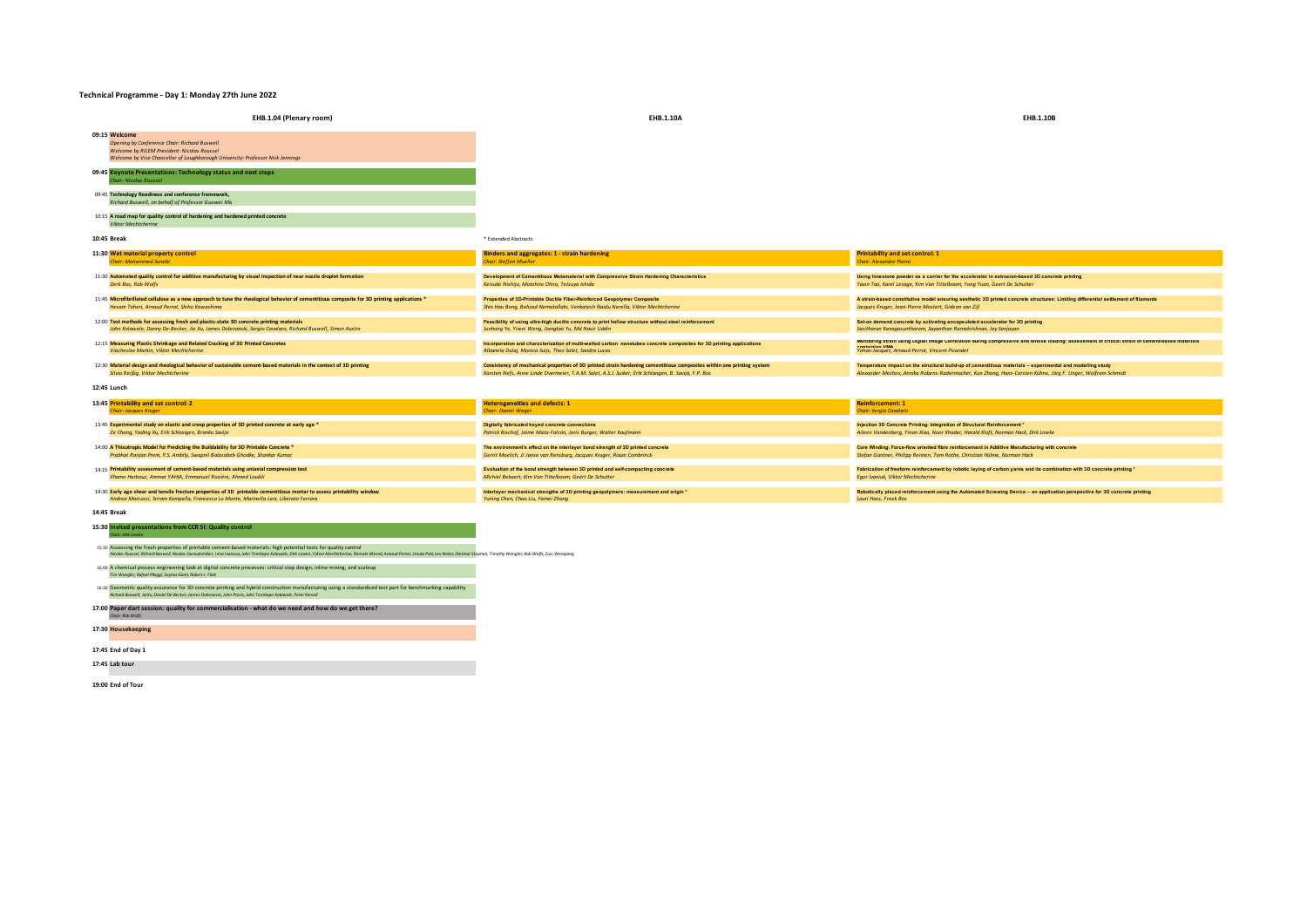## **Technical Programme - Day 1: Monday 27th June 2022**

| ecumcal Programme - Day 1. Monday 27th June 2022                                                                                                                                                                                                                                                                                                     |                                                                                                                                                                                                                                |                                                                                                                                                                                                                          |
|------------------------------------------------------------------------------------------------------------------------------------------------------------------------------------------------------------------------------------------------------------------------------------------------------------------------------------------------------|--------------------------------------------------------------------------------------------------------------------------------------------------------------------------------------------------------------------------------|--------------------------------------------------------------------------------------------------------------------------------------------------------------------------------------------------------------------------|
| EHB.1.04 (Plenary room)                                                                                                                                                                                                                                                                                                                              | EHB.1.10A                                                                                                                                                                                                                      | EHB.1.10B                                                                                                                                                                                                                |
| 09:15 Welcome<br>Opening by Conference Chair: Richard Buswell<br>Welcome by RILEM President: Nicolas Roussel<br>Welcome by Vice Chancellor of Loughborough University: Professor Nick Jennings                                                                                                                                                       |                                                                                                                                                                                                                                |                                                                                                                                                                                                                          |
| 09:45 Keynote Presentations: Technology status and next steps<br>Thair: Nicolas Roussel                                                                                                                                                                                                                                                              |                                                                                                                                                                                                                                |                                                                                                                                                                                                                          |
| 09:45 Technology Readiness and conference framework,<br>Richard Buswell, on behalf of Professor Guowei Ma                                                                                                                                                                                                                                            |                                                                                                                                                                                                                                |                                                                                                                                                                                                                          |
| 10:15 A road map for quality control of hardening and hardened printed concrete<br>Viktor Mechtcherine                                                                                                                                                                                                                                               |                                                                                                                                                                                                                                |                                                                                                                                                                                                                          |
| 10:45 Break                                                                                                                                                                                                                                                                                                                                          | * Extended Abstracts                                                                                                                                                                                                           |                                                                                                                                                                                                                          |
| 11:30 Wet material property control<br><b>Chair: Mohammed Sonebi</b>                                                                                                                                                                                                                                                                                 | <b>Binders and aggregates: 1 - strain hardening</b><br><b>Chair: Steffen Mueller</b>                                                                                                                                           | <b>Printability and set control: 1</b><br><b>Chair: Alexandre Pierre</b>                                                                                                                                                 |
| 11:30 Automated quality control for additive manufacturing by visual inspection of near nozzle droplet formation<br>Derk Bos, Rob Wolfs                                                                                                                                                                                                              | Development of Cementitious Metamaterial with Compressive Strain Hardening Characteristics<br>Keisuke Nishijo, Motohiro Ohno, Tetsuya Ishida                                                                                   | Using limestone powder as a carrier for the accelerator in extrusion-based 3D concrete printing<br>Yaxin Tao, Karel Lesage, Kim Van Tittelboom, Yong Yuan, Geert De Schutter                                             |
| 11:45 Microfibrillated cellulose as a new approach to tune the rheological behavior of cementitious composite for 3D printing applications *<br>Hesam Taheri, Arnaud Perrot, Shiho Kawashima                                                                                                                                                         | Properties of 3D-Printable Ductile Fiber-Reinforced Geopolymer Composite<br>Shin Hau Bong, Behzad Nematollahi, Venkatesh Naidu Nerella, Viktor Mechtcherine                                                                    | A strain-based constitutive model ensuring aesthetic 3D printed concrete structures: Limiting differential settlement of filaments<br>Jacques Kruger, Jean-Pierre Mostert, Gideon van Zijl                               |
| 12:00 Test methods for assessing fresh and plastic-state 3D concrete printing materials<br>John Kolawole, Danny De-Becker, Jie Xu, James Dobrzanski, Sergio Cavalaro, Richard Buswell, Simon Austin                                                                                                                                                  | Feasibility of using ultra-high ductile concrete to print hollow structure without steel reinforcement<br>Junhong Ye, Yiwei Weng, Jiangtao Yu, Md Nasir Uddin                                                                  | Set-on demand concrete by activating encapsulated accelerator for 3D printing<br>Sasitharan Kanagasuntharam, Sayanthan Ramakrishnan, Jay Sanjayan                                                                        |
| 12:15 Measuring Plastic Shrinkage and Related Cracking of 3D Printed Concretes<br>Viacheslav Markin, Viktor Mechtcherine                                                                                                                                                                                                                             | Incorporation and characterization of multi-walled carbon nanotubes concrete composites for 3D printing applications<br>Albanela Dulaj, Monica Suijs, Theo Salet, Sandra Lucas                                                 | Monitoring strain using Digital Image Correlation during compressive and tensile loading: assessment of critical strain of cement-based materials<br>AMM naisisenes<br>Yohan Jacquet, Arnaud Perrot, Vincent Picandet    |
| 12:30 Material design and rheological behavior of sustainable cement-based materials in the context of 3D printing<br>Silvia Reißig, Viktor Mechtcherine                                                                                                                                                                                             | Consistency of mechanical properties of 3D printed strain hardening cementitious composites within one printing system<br>Karsten Nefs, Anne Linde Overmeier, T.A.M. Salet, A.S.J. Suiker, Erik Schlangen, B. Savija, F.P. Bos | Temperature impact on the structural build-up of cementitious materials - experimental and modelling study<br>Alexander Mezhov, Annika Robens-Radermacher, Kun Zhang, Hans-Carsten Kühne, Jörg F. Unger, Wolfram Schmidt |
| 12:45 Lunch                                                                                                                                                                                                                                                                                                                                          |                                                                                                                                                                                                                                |                                                                                                                                                                                                                          |
| 13:45 Printability and set control: 2<br><b>Chair: Jacques Kruger</b>                                                                                                                                                                                                                                                                                | <b>Heterogeneities and defects: 1</b><br><b>Chair: Daniel Weger</b>                                                                                                                                                            | <b>Reinforcement: 1</b><br>Chair: Sergio Cavalaro                                                                                                                                                                        |
| 13:45 Experimental study on elastic and creep properties of 3D printed concrete at early age *<br>Ze Chang, Yading Xu, Erik Schlangen, Branko Savija                                                                                                                                                                                                 | Digitally fabricated keyed concrete connections<br>Patrick Bischof, Jaime Mata-Falcón, Joris Burger, Walter Kaufmann                                                                                                           | Injection 3D Concrete Printing: Integration of Structural Reinforcement*<br>Alleen Vandenberg, Yinan Xiao, Noor Khader, Harald Kloft, Norman Hack, Dirk Lowke                                                            |
| 14:00 A Thixotropic Model for Predicting the Buildability for 3D Printable Concrete *<br>Prabhat Ranjan Prem, P.S. Ambily, Swapnil Balasaheb Ghodke, Shankar Kumar                                                                                                                                                                                   | The environment's effect on the interlayer bond strength of 3D printed concrete<br>Gerrit Moelich, JJ Janse van Rensburg, Jacques Kruger, Riaan Combrinck                                                                      | Core Winding: Force-flow oriented fibre reinforcement in Additive Manufacturing with concrete<br>Stefan Gantner, Philipp Rennen, Tom Rothe, Christian Hühne, Norman Hack                                                 |
| 14:15 Printability assessment of cement-based materials using uniaxial compression test<br>Ilhame Harbouz, Ammar YAHIA, Emmanuel Rozière, Ahmed Loukili                                                                                                                                                                                              | Evaluation of the bond strength between 3D printed and self-compacting concrete<br>Michiel Bekaert, Kim Van Tittelboom, Geert De Schutter                                                                                      | Fabrication of freeform reinforcement by robotic laying of carbon yarns and its combination with 3D concrete printing *<br>Egor Ivaniuk, Viktor Mechtcherine                                                             |
| 14:30 Early age shear and tensile fracture properties of 3D printable cementitious mortar to assess printability window<br>Andrea Marcucci, Sriram Kompella, Francesco Lo Monte, Marinella Levi, Liberato Ferrara                                                                                                                                    | Interlayer mechanical strengths of 3D printing geopolymers: measurement and origin *<br>Yuning Chen, Chao Liu, Yamei Zhang                                                                                                     | Robotically placed reinforcement using the Automated Screwing Device - an application perspective for 3D concrete printing<br>Lauri Hass, Freek Bos                                                                      |
| 14:45 Break                                                                                                                                                                                                                                                                                                                                          |                                                                                                                                                                                                                                |                                                                                                                                                                                                                          |
| 15:30 Invited presentations from CCR SI: Quality control<br>Chair: Dirk Lowke                                                                                                                                                                                                                                                                        |                                                                                                                                                                                                                                |                                                                                                                                                                                                                          |
| 15:30 Assessing the fresh properties of printable cement-based materials: high potential tests for quality control<br>Nicolas Roussel, Richard Buswell, Nicolas Ducoulombler, Irina Ivanova, John Temitope Kolawole, Dirk Lowke, Viktor Mechtcherine, Romain Mesnil, Amaud Perrot, Ursula Pott, Lex Reiter, Dietmar Stephan, Timothy Wangler, Rob Wo |                                                                                                                                                                                                                                |                                                                                                                                                                                                                          |
| 16:00 A chemical process engineering look at digital concrete processes: critical step design, inline mixing, and scaleup<br>Tim Wangler, Rafael Pilegai, Seyma Gürel, Robert J. Flatt                                                                                                                                                               |                                                                                                                                                                                                                                |                                                                                                                                                                                                                          |

16:30 Geometric quality assurance for 3D concrete printing and hybrid construction manufacturing using a standardised test part for benchmarking capability<br>Richard Buswell, JieXu, Daniel De Becker, Jomes Dobrzonsk, John Pr

# **17:00 Paper dart session: quality for commercialisation - what do we need and how do we get there?** *Chair: Rob Wolfs*

**17:30 Housekeeping**

**17:45 End of Day 1**

**17:45 Lab tour**

**19:00 End of Tour**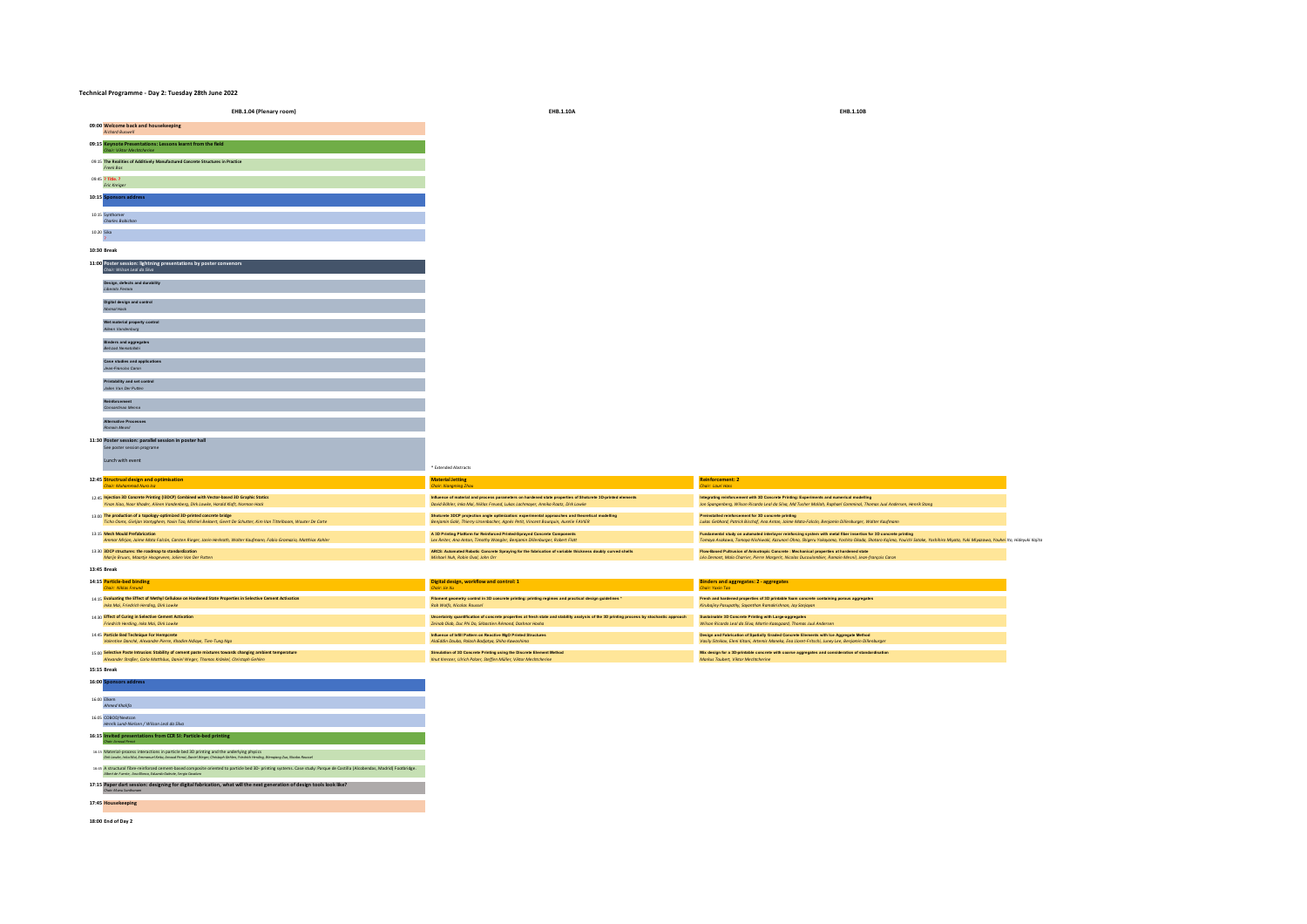#### **Technical Programme - Day 2: Tuesday 28th June 2022**

| EHB.1.04 (Plenary room)                                                                                                                                                                      | EHB.1.10A                                                                                                                                                                                      | EHB.1.10E                                                                                                                                                                  |
|----------------------------------------------------------------------------------------------------------------------------------------------------------------------------------------------|------------------------------------------------------------------------------------------------------------------------------------------------------------------------------------------------|----------------------------------------------------------------------------------------------------------------------------------------------------------------------------|
| 09:00 Welcome back and housekeeping<br><b>Richard Buswell</b>                                                                                                                                |                                                                                                                                                                                                |                                                                                                                                                                            |
| 09:15 Keynote Presentations: Lessons learnt from the field<br>Chair: Viktor Mechtcherine                                                                                                     |                                                                                                                                                                                                |                                                                                                                                                                            |
| 09:15 The Realities of Additively Manufactured Concrete Structures in Practice<br>Freek Bos                                                                                                  |                                                                                                                                                                                                |                                                                                                                                                                            |
| 09:45 ? Title. ?<br><b>Eric Kreiger</b>                                                                                                                                                      |                                                                                                                                                                                                |                                                                                                                                                                            |
| 10:15 Sponsors address                                                                                                                                                                       |                                                                                                                                                                                                |                                                                                                                                                                            |
| 10:15 Synthomer<br>Charles Bobichon                                                                                                                                                          |                                                                                                                                                                                                |                                                                                                                                                                            |
| 10:20 Sika                                                                                                                                                                                   |                                                                                                                                                                                                |                                                                                                                                                                            |
| 10:30 Break                                                                                                                                                                                  |                                                                                                                                                                                                |                                                                                                                                                                            |
| 11:00 Poster session: lightning presentations by poster convenors<br>Chair: Wilson Leal da Silva                                                                                             |                                                                                                                                                                                                |                                                                                                                                                                            |
| Design, defects and durability<br>Liberato Ferrara                                                                                                                                           |                                                                                                                                                                                                |                                                                                                                                                                            |
| Digital design and control<br>Normal Hack                                                                                                                                                    |                                                                                                                                                                                                |                                                                                                                                                                            |
| Wet material property control<br>Alleen Vandenburg                                                                                                                                           |                                                                                                                                                                                                |                                                                                                                                                                            |
| <b>Binders and aggregates</b><br>Behzad Nematollahi                                                                                                                                          |                                                                                                                                                                                                |                                                                                                                                                                            |
| <b>Case studies and applications</b><br>Jean-Francios Caron                                                                                                                                  |                                                                                                                                                                                                |                                                                                                                                                                            |
| Printability and set control<br>Joilen Van Der Putten                                                                                                                                        |                                                                                                                                                                                                |                                                                                                                                                                            |
| Reinforcement<br>Consantinao Menna                                                                                                                                                           |                                                                                                                                                                                                |                                                                                                                                                                            |
| <b>Alternative Processes</b><br>Romain Mesnil                                                                                                                                                |                                                                                                                                                                                                |                                                                                                                                                                            |
| 11:30 Poster session: parallel session in poster hall<br>See poster session programe                                                                                                         |                                                                                                                                                                                                |                                                                                                                                                                            |
| Lunch with event                                                                                                                                                                             | * Extended Abstracts                                                                                                                                                                           |                                                                                                                                                                            |
| 12:45 Structrual design and optimisation<br>Chair: Muhammad Nura Isa                                                                                                                         | <b>Material Jetting</b><br>Chair: Xiangming Zhou                                                                                                                                               | <b>Reinforcement: 2</b><br>Chair: Lauri Hass                                                                                                                               |
| 12:45 Injection 3D Concrete Printing (I3DCP) Combined with Vector-based 3D Graphic Statics<br>Yinan Xiao, Noor Khader, Alleen Vandenberg, Dirk Lowke, Harald Kloft, Norman Hack              | Influence of material and process parameters on hardened state properties of Shotcrete 3D-printed elements<br>David Böhler, Inka Mai, Niklas Freund, Lukas Lachmayer, Annika Roatz, Dirk Lowke | Integrating reinforcement with 3D Concrete Printing: Experiments and numerical model<br>Jon Spangenberg, Wilson Ricardo Leal da Silva, Md Tusher Mallah, Raphael Comminal, |
| 13:00 The production of a topology-optimized 3D-printed concrete bridge<br>Ticho Ooms, Gieljan Vantyghem, Yaxin Tao, Michiel Bekaert, Geert De Schutter, Kim Van Tittelboom, Wouter De Corte | Shotcrete 3DCP projection angle optimization: experimental approaches and theoretical modelling<br>Benjamin Galé, Thierry Ursenbacher, Agnès Petit, Vincent Bourquin, Aurelie FAVIER           | Preinstalled reinforcement for 3D concrete printing<br>Lukas Gebhard, Patrick Bischof, Ana Anton, Jaime Mata-Falcón, Benjamin Dillenburger,                                |
|                                                                                                                                                                                              |                                                                                                                                                                                                |                                                                                                                                                                            |

| 2:45 Structrual design and optimisation                                                                           | <b>Material Jetting</b>                                                                                    | <b>Reinforcement:</b>                                                                                                                                                          |
|-------------------------------------------------------------------------------------------------------------------|------------------------------------------------------------------------------------------------------------|--------------------------------------------------------------------------------------------------------------------------------------------------------------------------------|
| Chair: Muhammad Nura Isa                                                                                          | Chair: Xiangming Zhou                                                                                      | Chair: Lauri Hass                                                                                                                                                              |
|                                                                                                                   |                                                                                                            |                                                                                                                                                                                |
| 12:45 Injection 3D Concrete Printing (I3DCP) Combined with Vector-based 3D Graphic Statics                        | Influence of material and process parameters on hardened state properties of Shotcrete 3D-printed elements | Integrating reinforcement with 3D Concrete Printing: Experiments and numerical modelling                                                                                       |
| Yinan Xiao, Noor Khader, Alleen Vandenberg, Dirk Lowke, Harald Kloft, Norman Hack                                 | David Böhler, Inka Mai, Niklas Freund, Lukas Lachmayer, Annika Roatz, Dirk Lawke                           | Jon Spangenberg, Wilson Ricardo Leal da Silva, Md Tusher Mollah, Raphael Comminal, Thomas Juul Andersen, Henrik Stang                                                          |
|                                                                                                                   |                                                                                                            |                                                                                                                                                                                |
| 13:00 The production of a topology-optimized 3D-printed concrete bridge                                           | Shotcrete 3DCP projection angle optimization: experimental approaches and theoretical modelling            | Preinstalled reinforcement for 3D concrete printing                                                                                                                            |
| Ticho Ooms, Gielian Vantyahem, Yaxin Tao, Michiel Bekaert, Geert De Schutter, Kim Van Tittelboom, Wouter De Corte | Benjamin Galé, Thierry Ursenbacher, Aanès Petit, Vincent Bourguin, Aurelie FAVIER                          | Lukas Gebhard, Patrick Bischof, Ana Anton, Jaime Mata-Falcón, Benjamin Dillenburger, Walter Kaufmann                                                                           |
|                                                                                                                   |                                                                                                            |                                                                                                                                                                                |
| 13:15 Mesh Mould Prefabrication                                                                                   | A 3D Printing Platform for Reinforced Printed-Sprayed Concrete Components                                  | Fundamental study on automated interlayer reinforcing system with metal fiber insertion for 3D concrete printing                                                               |
| Ammar Mirjan, Jalme Mata Falcón, Carsten Rieger, Janin Herkrath, Walter Kaufmann, Fabio Gramazio, Matthias Kahler | Lex Reiter, Ang Anton, Timothy Wangler, Benjamin Dillenburger, Robert Flatt                                | Tomova Asakawa, Tomova Nishiwaki, Kazunari Ohno, Shigeru Yakoyama, Yoshito Okada, Shotaro Kalima, Youlchi Satake, Yoshihiro Miyata, Yuki Miyazawa, Youhei Ito, Hideyuki Kalito |
|                                                                                                                   |                                                                                                            |                                                                                                                                                                                |
| 13:30 3DCP structures: the roadmap to standardization                                                             | ARCS: Automated Robotic Concrete Spraving for the fabrication of variable thickness doubly curved shells   | Flow-Based Pultrusion of Anisotropic Concrete : Mechanical properties at hardened state                                                                                        |
| Mariin Bruurs, Maartie Hoogeveen, Jolien Van Der Putten                                                           | Mishael Nuh, Robin Oval, John Orr                                                                          | Léo Demont, Malo Charrier, Pierre Margerit, Nicolas Ducoulombier, Romain Mesnil, Jean-françois Caron                                                                           |
|                                                                                                                   |                                                                                                            |                                                                                                                                                                                |

**13:45 Break**

| 14:15 Particle-bed binding                                                                                  | Digital design, workflow and control: 1                                                                                                   | <b>Binders and aggregates: 2 - aggregates</b>                                                        |
|-------------------------------------------------------------------------------------------------------------|-------------------------------------------------------------------------------------------------------------------------------------------|------------------------------------------------------------------------------------------------------|
| Chair: Niklas Freund                                                                                        | Chair: Jie Xu                                                                                                                             | Chair: Yaxin Tao                                                                                     |
| 14:15 Evaluating the Effect of Methyl Cellulose on Hardened State Properties in Selective Cement Activation | Filament geometry control in 3D concrete printing: printing regimes and practical design quidelines *                                     | Fresh and hardened properties of 3D printable foam concrete containing porous appregates             |
| Inka Mai, Friedrich Herdina, Dirk Lowke                                                                     | Rob Wolfs, Nicolas Roussel                                                                                                                | Kirubaliny Pasupathy, Sayanthan Ramakrishnan, Jay Sanlayan                                           |
| 14:30 Effect of Curing in Selective Cement Activation                                                       | Uncertainty quantification of concrete properties at fresh state and stability analysis of the 3D printing process by stochastic approach | Sustainable 3D Concrete Printing with Large-aggregates                                               |
| Friedrich Herding, Inka Mai, Dirk Lowke                                                                     | Zeinab Diab, Duc Phi Do. Sébastien Rémond, Dashnor Hoxha                                                                                  | Wilson Ricardo Leal da Silva, Martin Kaasaaard, Thomas Juul Andersen                                 |
| 14:45 Particle Bed Technique For Hempcrete                                                                  | Influence of Infill Pattern on Reactive MoO Printed Structures                                                                            | Design and Fabrication of Spatially Graded Concrete Elements with Ice Appregate Method               |
| Valentine Danché, Alexandre Pierre, Khadim Ndiaye, Tien-Tuna Nao                                            | AlaEddin Douba, Palash Badiatya, Shiho Kawashima                                                                                          | Vasily Sitnikov, Eleni Kitani, Artemis Maneka, Ena Lloret-Fritschi, Juney Lee, Benjamin Dillenburger |
| 15:00 Selective Paste Intrusion: Stability of cement paste mixtures towards changing ambient temperature    | Simulation of 3D Concrete Printing using the Discrete Element Method                                                                      | Mix design for a 3D-printable concrete with coarse aggregates and consideration of standardisation   |
| Alexander Straßer, Carla Matthäus, Daniel Weger, Thomas Kränkel, Christoph Gehlen                           | Knut Krenzer, Ulrich Palzer, Steffen Müller, Viktor Mechtcherine                                                                          | Markus Taubert, Viktor Mechtcherine                                                                  |

**15:15 Break**

| <b>16:00 Sponsors address</b>                                                                                                                                                                                                               |
|---------------------------------------------------------------------------------------------------------------------------------------------------------------------------------------------------------------------------------------------|
| 16:00 Filiem<br>Ahmed Khalifa                                                                                                                                                                                                               |
| 16:05 COBOD/Nextcon<br>Henrik Lund-Nielsen / Wilson Leal da Silva                                                                                                                                                                           |
| 16:15 Invited presentations from CCR SI: Particle-bed printing<br>Chair Amount Denne                                                                                                                                                        |
| 16:15 Material-process interactions in particle bed 3D printing and the underlying physics<br>Dirk Lowke, Inko Mai, Emmanuel Keito, Amoud Perrot, Doniel Weger, Christoph Gehlen, Friedrich Herding, Wenglang Zuo, Nicolas Roussel          |
| 16.45 A structural fibre-reinforced cement-based composite oriented to particle bed 3D- printing systems. Case study: Parque de Castilla (Alcobendas, Madrid) Footbridge,<br>Albert de Fuente, Ang Blanco, Eduardo Galeate, Sergio Coyolaro |
| 17:15 Paper dart session: designing for digital fabrication, what will the next generation of design tools look like?<br>Chair Many Spothasom                                                                                               |
| 17:45 Housekeeping                                                                                                                                                                                                                          |
|                                                                                                                                                                                                                                             |

**18:00 End of Day 2**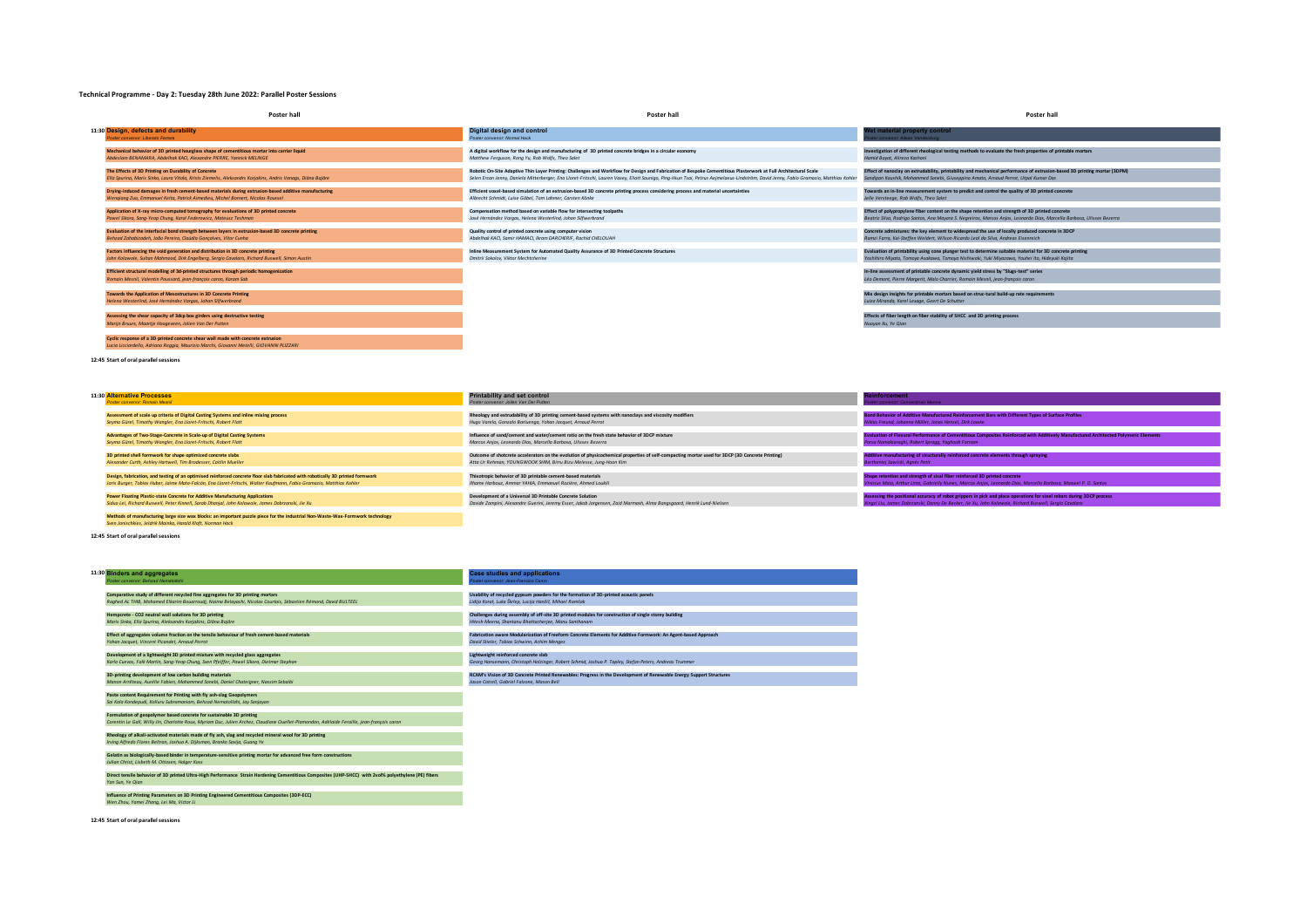#### **Technical Programme - Day 2: Tuesday 28th June 2022: Parallel Poster Sessions**

| Poster hall                                                                                                                                                 | <b>Poster hall</b>                                                                                                                                                                    | <b>Poster hall</b>                                                                                                                                                     |
|-------------------------------------------------------------------------------------------------------------------------------------------------------------|---------------------------------------------------------------------------------------------------------------------------------------------------------------------------------------|------------------------------------------------------------------------------------------------------------------------------------------------------------------------|
| 11:30 Design, defects and durability                                                                                                                        | Digital design and control                                                                                                                                                            | Wet material property control                                                                                                                                          |
| Poster convenor: Liberato Ferrara                                                                                                                           | Poster convenor: Normal Hack                                                                                                                                                          | ter convenor: Alleen Vandenburg                                                                                                                                        |
| Mechanical behavior of 3D printed hourglass shape of cementitious mortar into carrier liquid                                                                | A digital workflow for the design and manufacturing of 3D printed concrete bridges in a circular economy                                                                              | Investigation of different rheological testing methods to evaluate the fresh properties of printable mortars                                                           |
| Abdeslam BENAMARA, Abdelhak KACI, Alexandre PIERRE, Yannick MELINGE                                                                                         | Matthew Ferauson, Rona Yu, Rob Wolfs, Theo Salet                                                                                                                                      | Hamid Bayat, Alireza Kashani                                                                                                                                           |
| The Effects of 3D Printing on Durability of Concrete                                                                                                        | Robotic On-Site Adaptive Thin Layer Printing: Challenges and Workflow for Design and Fabrication of Bespoke Cementitious Plasterwork at Full Architectural Scale                      | Effect of nanoclay on extrudability, printability and mechanical performance of extrusion-based 3D printing mortar (3DPM)                                              |
| Ella Sourina, Maris Sinka, Laura Vitola, Krists Ziemelis, Aleksandrs Koriakins, Andris Vanaas, Diāna Baiāre                                                 | Selen Ercan Jenny, Daniela Mitterberger, Ena Lloret-Fritschi, Lauren Vasey, Eliott Sounigo, Ping-Hsun Tsai, Petrus Aejmelaeus-Lindström, David Jenny, Fabio Gramazio, Matthias Kohler | Sandipan Kaushik, Mohammed Sonebi, Giuseppina Amato, Arnaud Perrot, Utpal Kumar Das                                                                                    |
| Drying-induced damages in fresh cement-based materials during extrusion-based additive manufacturing                                                        | Efficient voxel-based simulation of an extrusion-based 3D concrete printing process considering process and material uncertainties                                                    | Towards an in-line measurement system to predict and control the quality of 3D printed concrete                                                                        |
| Wengigng Zuo, Emmanuel Keita, Patrick Aimedieu, Michel Bornert, Nicolas Roussel                                                                             | Albrecht Schmidt, Luise Göbel, Tom Lahmer, Carsten Könke                                                                                                                              | Jelle Versteege, Rob Wolfs, Theo Salet                                                                                                                                 |
| Application of X-ray micro-computed tomography for evaluations of 3D printed concrete                                                                       | Compensation method based on variable flow for intersecting toolpaths                                                                                                                 | Effect of polypropylene fiber content on the shape retention and strength of 3D printed concrete                                                                       |
| Pawel Sikora, Sana-Yeop Chuna, Karol Federowicz, Mateusz Techman                                                                                            | José Hernández Vargas, Helena Westerlind, Johan Silfwerbrand                                                                                                                          | Beatriz Silva, Rodrigo Santos, Ana Mayara S. Negreiros, Marcos Anjos, Leonardo Dias, Marcella Barbosa, Ulisses Bezerra                                                 |
| Evaluation of the interfacial bond strength between layers in extrusion-based 3D concrete printing                                                          | Quality control of printed concrete using computer vision                                                                                                                             | Concrete admixtures: the key element to widespread the use of locally produced concrete in 3DCP                                                                        |
| Behzad Zahabizadeh, João Pereira, Claúdia Goncalves, Vitor Cunha                                                                                            | Abdelhak KACI, Samir HAMACI, Ikram DARCHERIF, Rachid CHELOUAH                                                                                                                         | Ramzi Farra, Kai-Steffen Weldert, Wilson Ricardo Leal da Silva, Andreas Eisenreich                                                                                     |
| Factors influencing the void generation and distribution in 3D concrete printing                                                                            | Inline Measurement System for Automated Quality Assurance of 3D Printed Concrete Structures                                                                                           | Evaluation of printability using cone plunger test to determine suitable material for 3D concrete printing                                                             |
| John Kolawole, Sultan Mahmood, Dirk Engelberg, Sergio Cavalaro, Richard Buswell, Simon Austin                                                               | Dmitrii Sokolov, Viktor Mechtcherine                                                                                                                                                  | Yoshihiro Miyata, Tomova Asakawa, Tomova Nishiwaki, Yuki Miyazawa, Youhei Ito, Hidevuki Kajita                                                                         |
| Efficient structural modelling of 3d-printed structures through periodic homogenization<br>Romain Mesnil, Valentin Poussard, jean-françois caron, Karam Sab |                                                                                                                                                                                       | In-line assessment of printable concrete dynamic yield stress by "Slugs-test" series<br>Léo Demont, Pierre Margerit, Malo Charrier, Romain Mesnil, jean-françois caron |
| Towards the Application of Mesostructures in 3D Concrete Printing<br>Helena Westerlind, José Hernández Vargas, Johan Silfwerbrand                           |                                                                                                                                                                                       | Mix design insights for printable mortars based on struc-tural build-up rate requirements<br>Luiza Miranda, Karel Lesage, Geert De Schutter                            |
| Assessing the shear capacity of 3dcp box girders using destructive testing<br>Mariin Bruurs, Maartie Hoogeveen, Jolien Van Der Putten                       |                                                                                                                                                                                       | Effects of fiber length on fiber stability of SHCC and 3D printing process<br>Nuoyan Xu, Ye Qian                                                                       |
| We allow an account of a NR participant company of a control frame the collection of a control of the collection                                            |                                                                                                                                                                                       |                                                                                                                                                                        |

**Cyclic response of a 3D printed concrete shear wall made with concrete extrusion** *Lucia Licciardello, Adriano Reggia, Maurizio Marchi, Giovanni Metelli, GIOVANNI PLIZZARI*

**12:45 Start of oral parallel sessions**

| 11:30 Alternative Processes                                                                                                     | <b>Printability and set control</b>                                                                                                             | <b>Reinforcement</b>                                                                                                                 |
|---------------------------------------------------------------------------------------------------------------------------------|-------------------------------------------------------------------------------------------------------------------------------------------------|--------------------------------------------------------------------------------------------------------------------------------------|
| Poster convenor: Romain Mesnil                                                                                                  | Poster convenor: Joilen Van Der Putten                                                                                                          | oster convenor: Consantinao Menna                                                                                                    |
|                                                                                                                                 |                                                                                                                                                 |                                                                                                                                      |
| Assessment of scale up criteria of Digital Casting Systems and inline mixing process                                            | Rheology and extrudability of 3D printing cement-based systems with nanoclays and viscosity modifiers                                           | Bond Behavior of Additive Manufactured Reinforcement Bars with Different Types of Surface Profiles                                   |
| Seyma Gürel, Timothy Wangler, Eng Lloret-Fritschi, Robert Flatt                                                                 | Hugo Varela, Gonzalo Barluenga, Yohan Jacquet, Arnaud Perrot                                                                                    | Niklas Freund, Johanna Müller, Jonas Hensel, Dirk Lowke                                                                              |
|                                                                                                                                 |                                                                                                                                                 |                                                                                                                                      |
| Advantages of Two-Stage-Concrete in Scale-up of Digital Casting Systems                                                         | Influence of sand/cement and water/cement ratio on the fresh state behavior of 3DCP mixture                                                     | Evaluation of Flexural Performance of Cementitious Composites Reinforced with Additively Manufactured Architected Polymeric Elements |
| Seyma Gürel, Timothy Wangler, Eng Lloret-Fritschi, Robert Flatt                                                                 | Marcos Anios, Leonardo Dias, Marcella Barbosa, Ulisses Bezerra                                                                                  | Parsa Namakiaraghi, Robert Spragg, Yaghoob Farnam                                                                                    |
|                                                                                                                                 |                                                                                                                                                 |                                                                                                                                      |
| 3D printed shell formwork for shape optimized concrete slabs                                                                    | Outcome of shotcrete accelerators on the evolution of physicochemical properties of self-compacting mortar used for 3DCP (3D Concrete Printing) | Additive manufacturing of structurally reinforced concrete elements through spraving                                                 |
| Alexander Curth, Ashley Hartwell, Tim Brodesser, Caitlin Mueller                                                                | Atta Ur Rehman, YOUNGWOOK SHIM, Birru Bizu Melesse, Juna-Hoon Kim                                                                               | artlomiej Sawicki, Agnès Petit                                                                                                       |
|                                                                                                                                 |                                                                                                                                                 |                                                                                                                                      |
| Design, fabrication, and testing of an optimised reinforced concrete floor slab fabricated with robotically 3D printed formwork | Thixotropic behavior of 3D printable cement-based materials                                                                                     | Shape retention and strength of sisal fiber reinforced 3D printed concrete                                                           |
| Joris Burger, Tobias Huber, Jaime Mata-Falcón, Eng Lloret-Fritschi, Walter Kaufmann, Fabio Gramazio, Matthias Kohler            | Ilhame Harbouz, Ammar YAHIA, Emmanuel Rozière, Ahmed Loukili                                                                                    | Vinicius Maia, Arthur Lima, Gabrielly Nunes, Marcos Anjos, Leonardo Dias, Marcella Barbosa, Maxwel P. O. Santos                      |
|                                                                                                                                 |                                                                                                                                                 |                                                                                                                                      |
| <b>Power Floating Plastic-state Concrete for Additive Manufacturing Applications</b>                                            | Development of a Universal 3D Printable Concrete Solution                                                                                       | Assessing the positional accuracy of robot grippers in pick and place operations for steel rebars during 3DCP process                |
| Siduo Lei, Richard Buswell, Peter Kinnell, Sarab Dhanial, John Kolawole, James Dobrzanski, Jie Xu                               | Davide Zampini, Alexandre Guerini, Jeremy Esser, Jakob Jorgensen, Zaid Marmash, Alma Bangsgaard, Henrik Lund-Nielsen                            | Xingzi Liu, James Dobrzanski, Danny De Becker, Jie Xu, John Kolawole, Richard Buswell, Sergio Cavalaro                               |
|                                                                                                                                 |                                                                                                                                                 |                                                                                                                                      |
| Methods of manufacturing large size wax blocks: an important puzzle piece for the industrial Non-Waste-Wax-Formwork technology  |                                                                                                                                                 |                                                                                                                                      |
| Sven Jonischkies, Jeldrik Mainka, Harald Kloft, Norman Hack                                                                     |                                                                                                                                                 |                                                                                                                                      |

**12:45 Start of oral parallel sessions**

| 11:30 Binders and aggregates                                                                                                                | <b>Case studies and applications</b>                                                                                |
|---------------------------------------------------------------------------------------------------------------------------------------------|---------------------------------------------------------------------------------------------------------------------|
| Poster convenor: Behzad Nematollahi                                                                                                         | oster convenor: Jean-Francios Caron                                                                                 |
|                                                                                                                                             |                                                                                                                     |
| Comparative study of different recycled fine aggregates for 3D printing mortars                                                             | Usability of recycled gypsum powders for the formation of 3D-printed acoustic panels                                |
| Raghed AL THIB, Mohamed Elkarim Bougrroudi, Najma Belayachi, Nicolas Courtois, Sébastien Rémond, David BULTEEL                              | Lidija Korat, Luka Škrlep, Lucija Hanžič, Mihael Ramšak                                                             |
|                                                                                                                                             |                                                                                                                     |
| Hempcrete - CO2 neutral wall solutions for 3D printing                                                                                      | Challenges during assembly of off-site 3D printed modules for construction of single storey building                |
| Maris Sinka, Ella Spurina, Aleksandrs Korjakins, Diāna Bajāre                                                                               | Hitesh Meena, Shantanu Bhattacherjee, Manu Santhanam                                                                |
|                                                                                                                                             |                                                                                                                     |
| Effect of aggregates volume fraction on the tensile behaviour of fresh cement-based materials                                               | Fabrication aware Modularization of Freeform Concrete Elements for Additive Formwork: An Agent-based Approach       |
| Yohan Jacquet, Vincent Picandet, Arnaud Perrot                                                                                              | David Stieler, Tobias Schwinn, Achim Menges                                                                         |
|                                                                                                                                             |                                                                                                                     |
| Development of a lightweight 3D printed mixture with recycled glass aggregates                                                              | Lightweight reinforced concrete slab                                                                                |
| Karla Cuevas, Falk Martin, Sang-Yeop Chung, Sven Pfeiffer, Pawel Sikora, Dietmar Stephan                                                    | Georg Hansemann, Christoph Holzinger, Robert Schmid, Joshua P. Tapley, Stefan Peters, Andreas Trummer               |
|                                                                                                                                             |                                                                                                                     |
| 3D-printing development of low carbon building materials                                                                                    | RCAM's Vision of 3D Concrete Printed Renewables: Progress in the Development of Renewable Energy Support Structures |
| Manon Arrêteau, Aurélie Fabien, Mohammed Sonebi, Daniel Chateianer, Nassim Sebaibi                                                          | Jason Cotrell, Gabriel Falzone, Mason Bell                                                                          |
| Paste content Requirement for Printing with fly ash-slag Geopolymers                                                                        |                                                                                                                     |
|                                                                                                                                             |                                                                                                                     |
| Sai Kala Kondepudi, Kolluru Subramaniam, Behzad Nematollahi, Jay Sanjayan                                                                   |                                                                                                                     |
| Formulation of geopolymer based concrete for sustainable 3D printing                                                                        |                                                                                                                     |
| Corentin Le Gall, Willy Jin, Charlotte Roux, Myriam Duc, Julien Archez, Claudiane Quellet-Plamondon, Adélaide Feraille, iean-françois caron |                                                                                                                     |
|                                                                                                                                             |                                                                                                                     |

- -

**12:45 Start of oral parallel sessions**

**Rheology of alkali-activated materials made of fly ash, slag and recycled mineral wool for 3D printing** *Irving Alfredo Flores Beltran, Joshua A. Dijksman, Branko Savija, Guang Ye* **Gelatin as biologically-based binder in temperature-sensitive printing mortar for advanced free form constructions** *Julian Christ, Lisbeth M. Ottosen, Holger Koss*

**Influence of Printing Parameters on 3D Printing Engineered Cementitious Composites (3DP-ECC)** *Wen Zhou, Yamei Zhang, Lei Ma, Victor Li*

**Direct tensile behavior of 3D printed Ultra-High Performance Strain Hardening Cementitious Composites (UHP-SHCC) with 2vol% polyethylene (PE) fibers** *Yan Sun, Ye Qian*